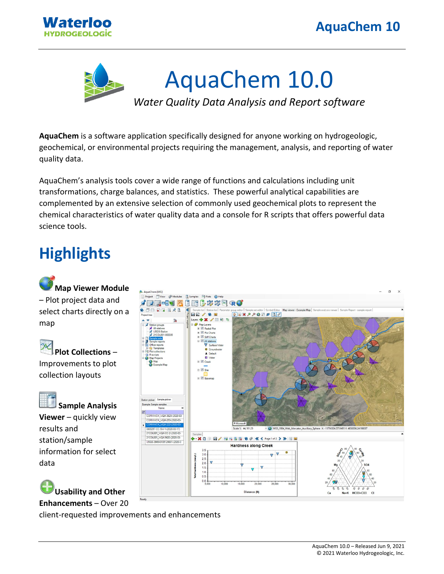



**AquaChem** is a software application specifically designed for anyone working on hydrogeologic, geochemical, or environmental projects requiring the management, analysis, and reporting of water quality data.

AquaChem's analysis tools cover a wide range of functions and calculations including unit transformations, charge balances, and statistics. These powerful analytical capabilities are complemented by an extensive selection of commonly used geochemical plots to represent the chemical characteristics of water quality data and a console for R scripts that offers powerful data science tools.

## **Highlights**



Improvements to plot collection layouts



data

**Sample Analysis Viewer** – quickly view results and station/sample information for select

**Usability and Other** 

**Enhancements** – Over 20 client-requested improvements and enhancements

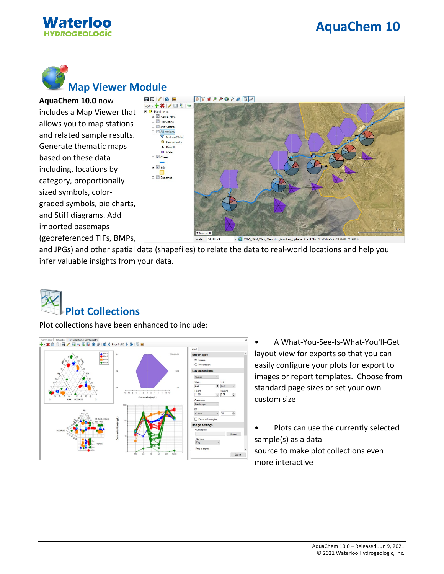



## **Map Viewer Module**

**AquaChem 10.0** now includes a Map Viewer that allows you to map stations and related sample results. Generate thematic maps based on these data including, locations by category, proportionally sized symbols, colorgraded symbols, pie charts, and Stiff diagrams. Add imported basemaps (georeferenced TIFs, BMPs,



and JPGs) and other spatial data (shapefiles) to relate the data to real-world locations and help you infer valuable insights from your data.



Plot collections have been enhanced to include:



- A What-You-See-Is-What-You'll-Get layout view for exports so that you can easily configure your plots for export to images or report templates. Choose from standard page sizes or set your own custom size
- Plots can use the currently selected sample(s) as a data source to make plot collections even more interactive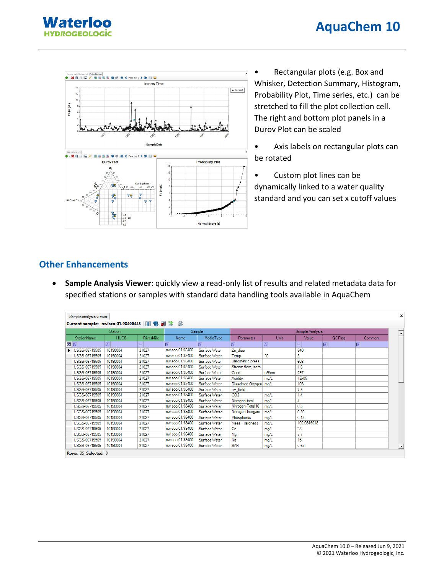



• Rectangular plots (e.g. Box and Whisker, Detection Summary, Histogram, Probability Plot, Time series, etc.) can be stretched to fill the plot collection cell. The right and bottom plot panels in a Durov Plot can be scaled

- Axis labels on rectangular plots can be rotated
- Custom plot lines can be dynamically linked to a water quality standard and you can set x cutoff values

## **Other Enhancements**

• **Sample Analysis Viewer**: quickly view a read-only list of results and related metadata data for specified stations or samples with standard data handling tools available in AquaChem

|                         | Sample analysis viewer |                                                |                  |                 |               |                         |          |             |                |          | $\mathbf{x}$ |
|-------------------------|------------------------|------------------------------------------------|------------------|-----------------|---------------|-------------------------|----------|-------------|----------------|----------|--------------|
|                         |                        | Current sample: nwisco.01.98400445   日 8 2 2 3 |                  |                 |               |                         |          |             |                |          |              |
|                         |                        | <b>Station</b>                                 |                  | Sample          |               | Sample Analysis         |          |             |                |          |              |
|                         | <b>StationName</b>     | HUC8                                           | <b>RiverMile</b> | Name            | MediaType     | Parameter               | Unit     | Value       | <b>QCFlag</b>  | Comment  | ≐            |
|                         | <b>MA</b>              | $ \mathbb{A} $                                 | $=$              | A.              | A             | A.                      | $\Delta$ | $=$         | $\overline{A}$ | <b>A</b> |              |
| $\blacktriangleright$ 1 | USGS-06719505          | 10190004                                       | 21027            | nwisco.01.98400 | Surface Water | Zn diss                 |          | 840         |                |          |              |
|                         | USGS-06719505          | 10190004                                       | 21027            | nwisco.01.98400 | Surface Water | Temp                    | ۰c       | 3           |                |          |              |
|                         | USGS-06719505          | 10190004                                       | 21027            | nwisco.01.98400 | Surface Water | <b>Barometric press</b> |          | 608         |                |          |              |
|                         | USGS-06719505          | 10190004                                       | 21027            | nwisco.01.98400 | Surface Water | Stream flow, insta      |          | 1.6         |                |          |              |
|                         | USGS-06719505          | 10190004                                       | 21027            | nwisco.01.98400 | Surface Water | Cond                    | $u$ S/cm | 297         |                |          |              |
|                         | USGS-06719505          | 10190004                                       | 21027            | nwisco.01.98400 | Surface Water | Acidity                 | mg/L     | 1E-05       |                |          |              |
|                         | USGS-06719505          | 10190004                                       | 21027            | nwisco.01.98400 | Surface Water | Dissolved Oxygen   mg/L |          | 103         |                |          |              |
|                         | USGS-06719505          | 10190004                                       | 21027            | nwisco.01.98400 | Surface Water | pH_field                |          | 7.8         |                |          |              |
|                         | USGS-06719505          | 10190004                                       | 21027            | nwisco.01.98400 | Surface Water | CO <sub>2</sub>         | mg/L     | 1.4         |                |          |              |
|                         | USGS-06719505          | 10190004                                       | 21027            | nwisco.01.98400 | Surface Water | Nitrogen-total          | mg/L     | 4           |                |          |              |
|                         | USGS-06719505          | 10190004                                       | 21027            | nwisco.01.98400 | Surface Water | Nitrogen-Total Kj       | mg/L     | 0.5         |                |          |              |
|                         | USGS-06719505          | 10190004                                       | 21027            | nwisco.01.98400 | Surface Water | Nitrogen-Inorgani       | mg/L     | 0.36        |                |          |              |
|                         | USGS-06719505          | 10190004                                       | 21027            | nwisco.01.98400 | Surface Water | Phosphorus              | mg/L     | 0.18        |                |          |              |
|                         | USGS-06719505          | 10190004                                       | 21027            | nwisco.01.98400 | Surface Water | Meas Hardness           | mg/L     | 102.0816018 |                |          |              |
|                         | USGS-06719505          | 10190004                                       | 21027            | nwisco.01.98400 | Surface Water | Ca                      | mg/L     | 28          |                |          |              |
|                         | USGS-06719505          | 10190004                                       | 21027            | nwisco.01.98400 | Surface Water | Ma                      | mg/L     | 7.7         |                |          |              |
|                         | USGS-06719505          | 10190004                                       | 21027            | nwisco.01.98400 | Surface Water | Na                      | mg/L     | 15          |                |          |              |
|                         | USGS-06719505          | 10190004                                       | 21027            | nwisco.01.98400 | Surface Water | <b>SAR</b>              | mg/L     | 0.65        |                |          |              |
|                         | Rows: 35 Selected: 0   |                                                |                  |                 |               |                         |          |             |                |          |              |